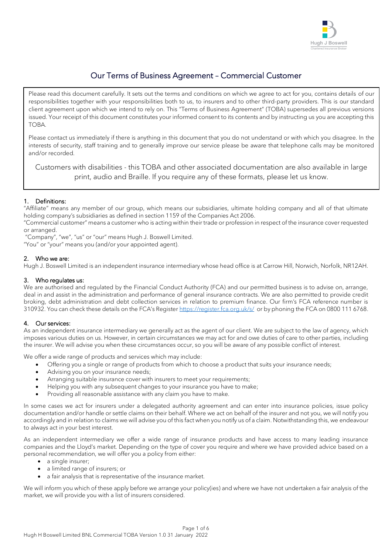

# Our Terms of Business Agreement – Commercial Customer

Please read this document carefully. It sets out the terms and conditions on which we agree to act for you, contains details of our responsibilities together with your responsibilities both to us, to insurers and to other third-party providers. This is our standard client agreement upon which we intend to rely on. This "Terms of Business Agreement" (TOBA) supersedes all previous versions issued. Your receipt of this document constitutes your informed consent to its contents and by instructing us you are accepting this TOBA.

Please contact us immediately if there is anything in this document that you do not understand or with which you disagree. In the interests of security, staff training and to generally improve our service please be aware that telephone calls may be monitored and/or recorded.

Customers with disabilities - this TOBA and other associated documentation are also available in large print, audio and Braille. If you require any of these formats, please let us know.

# 1. Definitions:

"Affiliate" means any member of our group, which means our subsidiaries, ultimate holding company and all of that ultimate holding company's subsidiaries as defined in section 1159 of the Companies Act 2006.

"Commercial customer" means a customer who is acting within their trade or profession in respect of the insurance cover requested or arranged.

"Company", "we", "us" or "our" means Hugh J. Boswell Limited. "You" or "your" means you (and/or your appointed agent).

### 2. Who we are:

Hugh J. Boswell Limited is an independent insurance intermediary whose head office is at Carrow Hill, Norwich, Norfolk, NR12AH.

### 3. Who regulates us:

We are authorised and regulated by the Financial Conduct Authority (FCA) and our permitted business is to advise on, arrange, deal in and assist in the administration and performance of general insurance contracts. We are also permitted to provide credit broking, debt administration and debt collection services in relation to premium finance. Our firm's FCA reference number is 310932. You can check these details on the FCA's Register <https://register.fca.org.uk/s/>or by phoning the FCA on 0800 111 6768.

### 4. Our services:

As an independent insurance intermediary we generally act as the agent of our client. We are subject to the law of agency, which imposes various duties on us. However, in certain circumstances we may act for and owe duties of care to other parties, including the insurer. We will advise you when these circumstances occur, so you will be aware of any possible conflict of interest.

We offer a wide range of products and services which may include:

- Offering you a single or range of products from which to choose a product that suits your insurance needs;
	- Advising you on your insurance needs;
	- Arranging suitable insurance cover with insurers to meet your requirements;
	- Helping you with any subsequent changes to your insurance you have to make;
	- Providing all reasonable assistance with any claim you have to make.

In some cases we act for insurers under a delegated authority agreement and can enter into insurance policies, issue policy documentation and/or handle or settle claims on their behalf. Where we act on behalf of the insurer and not you, we will notify you accordingly and in relation to claims we will advise you of this fact when you notify us of a claim. Notwithstanding this, we endeavour to always act in your best interest.

As an independent intermediary we offer a wide range of insurance products and have access to many leading insurance companies and the Lloyd's market. Depending on the type of cover you require and where we have provided advice based on a personal recommendation, we will offer you a policy from either:

- a single insurer;
- a limited range of insurers; or
- a fair analysis that is representative of the insurance market.

We will inform you which of these apply before we arrange your policy(ies) and where we have not undertaken a fair analysis of the market, we will provide you with a list of insurers considered.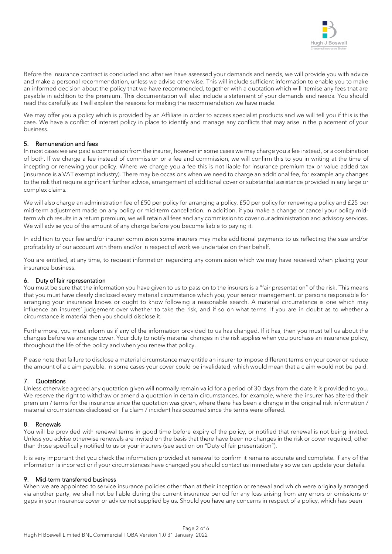

Before the insurance contract is concluded and after we have assessed your demands and needs, we will provide you with advice and make a personal recommendation, unless we advise otherwise. This will include sufficient information to enable you to make an informed decision about the policy that we have recommended, together with a quotation which will itemise any fees that are payable in addition to the premium. This documentation will also include a statement of your demands and needs. You should read this carefully as it will explain the reasons for making the recommendation we have made.

We may offer you a policy which is provided by an Affiliate in order to access specialist products and we will tell you if this is the case. We have a conflict of interest policy in place to identify and manage any conflicts that may arise in the placement of your business.

# 5. Remuneration and fees

In most cases we are paid a commission from the insurer, however in some cases we may charge you a fee instead, or a combination of both. If we charge a fee instead of commission or a fee and commission, we will confirm this to you in writing at the time of incepting or renewing your policy. Where we charge you a fee this is not liable for insurance premium tax or value added tax (insurance is a VAT exempt industry). There may be occasions when we need to charge an additional fee, for example any changes to the risk that require significant further advice, arrangement of additional cover or substantial assistance provided in any large or complex claims.

We will also charge an administration fee of £50 per policy for arranging a policy, £50 per policy for renewing a policy and £25 per mid-term adjustment made on any policy or mid-term cancellation. In addition, if you make a change or cancel your policy midterm which results in a return premium, we will retain all fees and any commission to cover our administration and advisory services. We will advise you of the amount of any charge before you become liable to paying it.

In addition to your fee and/or insurer commission some insurers may make additional payments to us reflecting the size and/or profitability of our account with them and/or in respect of work we undertake on their behalf.

You are entitled, at any time, to request information regarding any commission which we may have received when placing your insurance business.

### 6. Duty of fair representation

You must be sure that the information you have given to us to pass on to the insurers is a "fair presentation" of the risk. This means that you must have clearly disclosed every material circumstance which you, your senior management, or persons responsible for arranging your insurance knows or ought to know following a reasonable search. A material circumstance is one which may influence an insurers' judgement over whether to take the risk, and if so on what terms. If you are in doubt as to whether a circumstance is material then you should disclose it.

Furthermore, you must inform us if any of the information provided to us has changed. If it has, then you must tell us about the changes before we arrange cover. Your duty to notify material changes in the risk applies when you purchase an insurance policy, throughout the life of the policy and when you renew that policy.

Please note that failure to disclose a material circumstance may entitle an insurer to impose different terms on your cover or reduce the amount of a claim payable. In some cases your cover could be invalidated, which would mean that a claim would not be paid.

### 7. Quotations

Unless otherwise agreed any quotation given will normally remain valid for a period of 30 days from the date it is provided to you. We reserve the right to withdraw or amend a quotation in certain circumstances, for example, where the insurer has altered their premium / terms for the insurance since the quotation was given, where there has been a change in the original risk information / material circumstances disclosed or if a claim / incident has occurred since the terms were offered.

#### 8. Renewals

You will be provided with renewal terms in good time before expiry of the policy, or notified that renewal is not being invited. Unless you advise otherwise renewals are invited on the basis that there have been no changes in the risk or cover required, other than those specifically notified to us or your insurers (see section on "Duty of fair presentation").

It is very important that you check the information provided at renewal to confirm it remains accurate and complete. If any of the information is incorrect or if your circumstances have changed you should contact us immediately so we can update your details.

### 9. Mid-term transferred business

When we are appointed to service insurance policies other than at their inception or renewal and which were originally arranged via another party, we shall not be liable during the current insurance period for any loss arising from any errors or omissions or gaps in your insurance cover or advice not supplied by us. Should you have any concerns in respect of a policy, which has been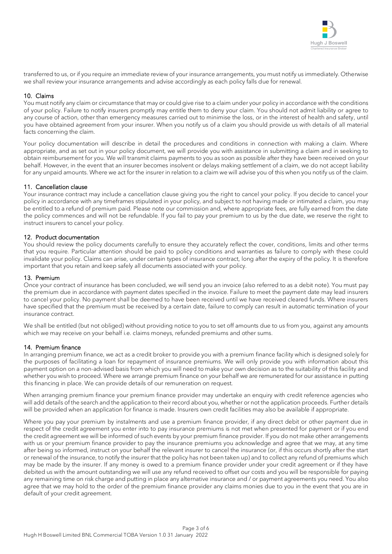

transferred to us, or if you require an immediate review of your insurance arrangements, you must notify us immediately. Otherwise we shall review your insurance arrangements and advise accordingly as each policy falls due for renewal.

### 10. Claims

You must notify any claim or circumstance that may or could give rise to a claim under your policy in accordance with the conditions of your policy. Failure to notify insurers promptly may entitle them to deny your claim. You should not admit liability or agree to any course of action, other than emergency measures carried out to minimise the loss, or in the interest of health and safety, until you have obtained agreement from your insurer. When you notify us of a claim you should provide us with details of all material facts concerning the claim.

Your policy documentation will describe in detail the procedures and conditions in connection with making a claim. Where appropriate, and as set out in your policy document, we will provide you with assistance in submitting a claim and in seeking to obtain reimbursement for you. We will transmit claims payments to you as soon as possible after they have been received on your behalf. However, in the event that an insurer becomes insolvent or delays making settlement of a claim, we do not accept liability for any unpaid amounts. Where we act for the insurer in relation to a claim we will advise you of this when you notify us of the claim.

### 11. Cancellation clause

Your insurance contract may include a cancellation clause giving you the right to cancel your policy. If you decide to cancel your policy in accordance with any timeframes stipulated in your policy, and subject to not having made or intimated a claim, you may be entitled to a refund of premium paid. Please note our commission and, where appropriate fees, are fully earned from the date the policy commences and will not be refundable. If you fail to pay your premium to us by the due date, we reserve the right to instruct insurers to cancel your policy.

### 12. Product documentation

You should review the policy documents carefully to ensure they accurately reflect the cover, conditions, limits and other terms that you require. Particular attention should be paid to policy conditions and warranties as failure to comply with these could invalidate your policy. Claims can arise, under certain types of insurance contract, long after the expiry of the policy. It is therefore important that you retain and keep safely all documents associated with your policy.

### 13. Premium

Once your contract of insurance has been concluded, we will send you an invoice (also referred to as a debit note). You must pay the premium due in accordance with payment dates specified in the invoice. Failure to meet the payment date may lead insurers to cancel your policy. No payment shall be deemed to have been received until we have received cleared funds. Where insurers have specified that the premium must be received by a certain date, failure to comply can result in automatic termination of your insurance contract.

We shall be entitled (but not obliged) without providing notice to you to set off amounts due to us from you, against any amounts which we may receive on your behalf i.e. claims moneys, refunded premiums and other sums.

### 14. Premium finance

In arranging premium finance, we act as a credit broker to provide you with a premium finance facility which is designed solely for the purposes of facilitating a loan for repayment of insurance premiums. We will only provide you with information about this payment option on a non-advised basis from which you will need to make your own decision as to the suitability of this facility and whether you wish to proceed. Where we arrange premium finance on your behalf we are remunerated for our assistance in putting this financing in place. We can provide details of our remuneration on request.

When arranging premium finance your premium finance provider may undertake an enquiry with credit reference agencies who will add details of the search and the application to their record about you, whether or not the application proceeds. Further details will be provided when an application for finance is made. Insurers own credit facilities may also be available if appropriate.

Where you pay your premium by instalments and use a premium finance provider, if any direct debit or other payment due in respect of the credit agreement you enter into to pay insurance premiums is not met when presented for payment or if you end the credit agreement we will be informed of such events by your premium finance provider. If you do not make other arrangements with us or your premium finance provider to pay the insurance premiums you acknowledge and agree that we may, at any time after being so informed, instruct on your behalf the relevant insurer to cancel the insurance (or, if this occurs shortly after the start or renewal of the insurance, to notify the insurer that the policy has not been taken up) and to collect any refund of premiums which may be made by the insurer. If any money is owed to a premium finance provider under your credit agreement or if they have debited us with the amount outstanding we will use any refund received to offset our costs and you will be responsible for paying any remaining time on risk charge and putting in place any alternative insurance and / or payment agreements you need. You also agree that we may hold to the order of the premium finance provider any claims monies due to you in the event that you are in default of your credit agreement.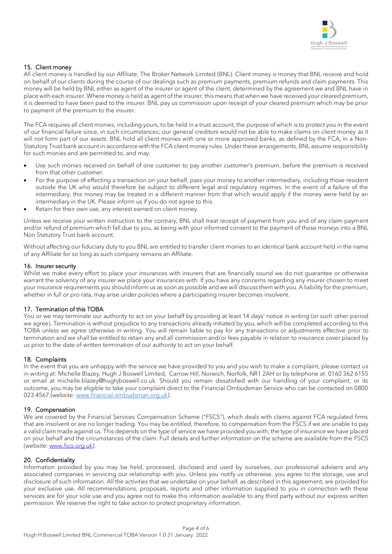

# 15. Client money

All client money is handled by our Affiliate, The Broker Network Limited (BNL). Client money is money that BNL receive and hold on behalf of our clients during the course of our dealings such as premium payments, premium refunds and claim payments. This money will be held by BNL either as agent of the insurer or agent of the client, determined by the agreement we and BNL have in place with each insurer. Where money is held as agent of the insurer, this means that when we have received your cleared premium, it is deemed to have been paid to the insurer. BNL pay us commission upon receipt of your cleared premium which may be prior to payment of the premium to the insurer.

The FCA requires all client monies, including yours, to be held in a trust account, the purpose of which is to protect you in the event of our financial failure since, in such circumstances; our general creditors would not be able to make claims on client money as it will not form part of our assets. BNL hold all client monies with one or more approved banks, as defined by the FCA, in a Non-Statutory Trust bank account in accordance with the FCA client money rules. Under these arrangements, BNL assume responsibility for such monies and are permitted to, and may:

- Use such monies received on behalf of one customer to pay another customer's premium, before the premium is received from that other customer.
- For the purpose of effecting a transaction on your behalf, pass your money to another intermediary, including those resident outside the UK who would therefore be subject to different legal and regulatory regimes. In the event of a failure of the intermediary, this money may be treated in a different manner from that which would apply if the money were held by an intermediary in the UK. Please inform us if you do not agree to this.
- Retain for their own use, any interest earned on client money.

Unless we receive your written instruction to the contrary, BNL shall treat receipt of payment from you and of any claim payment and/or refund of premium which fall due to you, as being with your informed consent to the payment of those moneys into a BNL Non Statutory Trust bank account.

Without affecting our fiduciary duty to you BNL are entitled to transfer client monies to an identical bank account held in the name of any Affiliate for so long as such company remains an Affiliate.

### 16. Insurer security

Whilst we make every effort to place your insurances with insurers that are financially sound we do not quarantee or otherwise warrant the solvency of any insurer we place your insurances with. If you have any concerns regarding any insurer chosen to meet your insurance requirements you should inform us as soon as possible and we will discuss them with you. A liability for the premium, whether in full or pro rata, may arise under policies where a participating insurer becomes insolvent.

# 17. Termination of this TOBA

You or we may terminate our authority to act on your behalf by providing at least 14 days' notice in writing (or such other period we agree). Termination is without prejudice to any transactions already initiated by you, which will be completed according to this TOBA unless we agree otherwise in writing. You will remain liable to pay for any transactions or adjustments effective prior to termination and we shall be entitled to retain any and all commission and/or fees payable in relation to insurance cover placed by us prior to the date of written termination of our authority to act on your behalf.

### 18. Complaints

In the event that you are unhappy with the service we have provided to you and you wish to make a complaint, please contact us in writing at: Michelle Blazey, Hugh J Boswell Limited, Carrow Hill, Norwich, Norfolk, NR1 2AH or by telephone at: 0160 362 6155 or email at michelle.blazey@hughjboswell.co.uk. Should you remain dissatisfied with our handling of your complaint, or its outcome, you may be eligible to take your complaint direct to the Financial Ombudsman Service who can be contacted on 0800 023 4567 (website[: www.financial-ombudsman.org.uk\)](http://www.financial-ombudsman.org.uk/).

# 19. Compensation

We are covered by the Financial Services Compensation Scheme ("FSCS"), which deals with claims against FCA regulated firms that are insolvent or are no longer trading. You may be entitled, therefore, to compensation from the FSCS if we are unable to pay a valid claim made against us. This depends on the type of service we have provided you with, the type of insurance we have placed on your behalf and the circumstances of the claim. Full details and further information on the scheme are available from the FSCS (website: [www.fscs.org.uk\)](http://www.fscs.org.uk/).

# 20. Confidentiality

Information provided by you may be held, processed, disclosed and used by ourselves, our professional advisers and any associated companies in servicing our relationship with you. Unless you notify us otherwise, you agree to the storage, use and disclosure of such information. All the activities that we undertake on your behalf, as described in this agreement, are provided for your exclusive use. All recommendations, proposals, reports and other information supplied to you in connection with these services are for your sole use and you agree not to make this information available to any third party without our express written permission. We reserve the right to take action to protect proprietary information.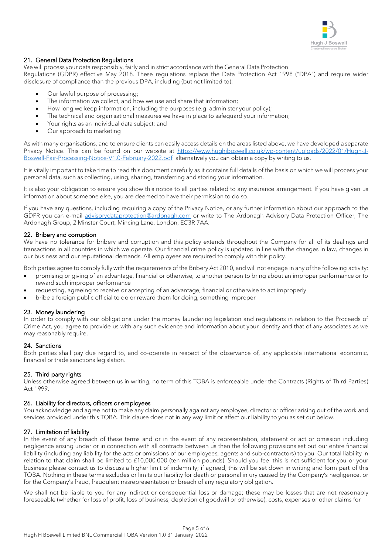

### 21. General Data Protection Regulations

We will process your data responsibly, fairly and in strict accordance with the General Data Protection

Regulations (GDPR) effective May 2018. These regulations replace the Data Protection Act 1998 ("DPA") and require wider disclosure of compliance than the previous DPA, including (but not limited to):

- Our lawful purpose of processing;
- The information we collect, and how we use and share that information;
- How long we keep information, including the purposes (e.g. administer your policy);
- The technical and organisational measures we have in place to safeguard your information;
- Your rights as an individual data subject; and
- Our approach to marketing

As with many organisations, and to ensure clients can easily access details on the areas listed above, we have developed a separate Privacy Notice. This can be found on our website at [https://www.hughjboswell.co.uk/wp-content/uploads/2022/01/Hugh-J-](https://www.hughjboswell.co.uk/wp-content/uploads/2022/01/Hugh-J-Boswell-Fair-Processing-Notice-V1.0-February-2022.pdf)[Boswell-Fair-Processing-Notice-V1.0-February-2022.pdf](https://www.hughjboswell.co.uk/wp-content/uploads/2022/01/Hugh-J-Boswell-Fair-Processing-Notice-V1.0-February-2022.pdf) alternatively you can obtain a copy by writing to us.

It is vitally important to take time to read this document carefully as it contains full details of the basis on which we will process your personal data, such as collecting, using, sharing, transferring and storing your information.

It is also your obligation to ensure you show this notice to all parties related to any insurance arrangement. If you have given us information about someone else, you are deemed to have their permission to do so.

If you have any questions, including requiring a copy of the Privacy Notice, or any further information about our approach to the GDPR you can e-mail [advisorydataprotection@ardonagh.com](mailto:advisorydataprotection@ardonagh.com) or write to The Ardonagh Advisory Data Protection Officer, The Ardonagh Group, 2 Minster Court, Mincing Lane, London, EC3R 7AA.

### 22. Bribery and corruption

We have no tolerance for bribery and corruption and this policy extends throughout the Company for all of its dealings and transactions in all countries in which we operate. Our financial crime policy is updated in line with the changes in law, changes in our business and our reputational demands. All employees are required to comply with this policy.

Both parties agree to comply fully with the requirements of the Bribery Act 2010, and will not engage in any of the following activity:

- promising or giving of an advantage, financial or otherwise, to another person to bring about an improper performance or to reward such improper performance
- requesting, agreeing to receive or accepting of an advantage, financial or otherwise to act improperly
- bribe a foreign public official to do or reward them for doing, something improper

### 23. Money laundering

In order to comply with our obligations under the money laundering legislation and regulations in relation to the Proceeds of Crime Act, you agree to provide us with any such evidence and information about your identity and that of any associates as we may reasonably require.

### 24. Sanctions

Both parties shall pay due regard to, and co-operate in respect of the observance of, any applicable international economic, financial or trade sanctions legislation.

# 25. Third party rights

Unless otherwise agreed between us in writing, no term of this TOBA is enforceable under the Contracts (Rights of Third Parties) Act 1999.

### 26. Liability for directors, officers or employees

You acknowledge and agree not to make any claim personally against any employee, director or officer arising out of the work and services provided under this TOBA. This clause does not in any way limit or affect our liability to you as set out below.

# 27. Limitation of liability

In the event of any breach of these terms and or in the event of any representation, statement or act or omission including negligence arising under or in connection with all contracts between us then the following provisions set out our entire financial liability (including any liability for the acts or omissions of our employees, agents and sub-contractors) to you. Our total liability in relation to that claim shall be limited to £10,000,000 (ten million pounds). Should you feel this is not sufficient for you or your business please contact us to discuss a higher limit of indemnity; if agreed, this will be set down in writing and form part of this TOBA. Nothing in these terms excludes or limits our liability for death or personal injury caused by the Company's negligence, or for the Company's fraud, fraudulent misrepresentation or breach of any regulatory obligation.

We shall not be liable to you for any indirect or consequential loss or damage; these may be losses that are not reasonably foreseeable (whether for loss of profit, loss of business, depletion of goodwill or otherwise), costs, expenses or other claims for